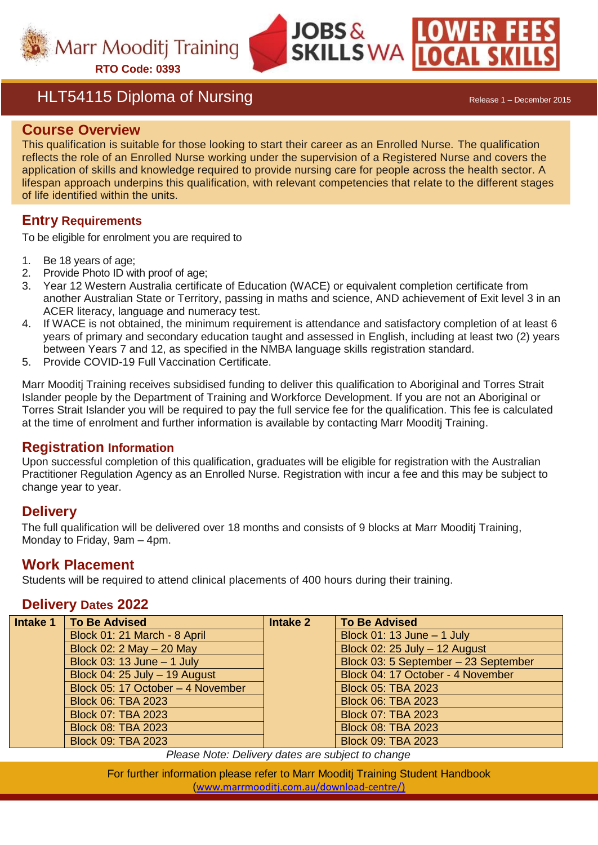

## HLT54115 Diploma of Nursing Release 1 – December 2015

#### **Course Overview**

This qualification is suitable for those looking to start their career as an Enrolled Nurse. The qualification reflects the role of an Enrolled Nurse working under the supervision of a Registered Nurse and covers the application of skills and knowledge required to provide nursing care for people across the health sector. A lifespan approach underpins this qualification, with relevant competencies that relate to the different stages of life identified within the units.

**JOBS&** 

**SKILLS WA LOCAL** 

#### **Entry Requirements**

To be eligible for enrolment you are required to

- 1. Be 18 years of age;
- 2. Provide Photo ID with proof of age;
- 3. Year 12 Western Australia certificate of Education (WACE) or equivalent completion certificate from another Australian State or Territory, passing in maths and science, AND achievement of Exit level 3 in an ACER literacy, language and numeracy test.
- 4. If WACE is not obtained, the minimum requirement is attendance and satisfactory completion of at least 6 years of primary and secondary education taught and assessed in English, including at least two (2) years between Years 7 and 12, as specified in the NMBA language skills registration standard.
- 5. Provide COVID-19 Full Vaccination Certificate.

Marr Mooditj Training receives subsidised funding to deliver this qualification to Aboriginal and Torres Strait Islander people by the Department of Training and Workforce Development. If you are not an Aboriginal or Torres Strait Islander you will be required to pay the full service fee for the qualification. This fee is calculated at the time of enrolment and further information is available by contacting Marr Mooditj Training.

#### **Registration Information**

Upon successful completion of this qualification, graduates will be eligible for registration with the Australian Practitioner Regulation Agency as an Enrolled Nurse. Registration with incur a fee and this may be subject to change year to year.

#### **Delivery**

The full qualification will be delivered over 18 months and consists of 9 blocks at Marr Mooditj Training, Monday to Friday, 9am – 4pm.

#### **Work Placement**

Students will be required to attend clinical placements of 400 hours during their training.

#### **Delivery Dates 2022**

| Intake 1 | <b>To Be Advised</b>              | Intake 2 | To Be Advised                        |
|----------|-----------------------------------|----------|--------------------------------------|
|          | Block 01: 21 March - 8 April      |          | Block 01: 13 June - 1 July           |
|          | Block 02: $2$ May $-$ 20 May      |          | Block 02: 25 July - 12 August        |
|          | Block 03: 13 June $-$ 1 July      |          | Block 03: 5 September - 23 September |
|          | Block 04: $25$ July $-$ 19 August |          | Block 04: 17 October - 4 November    |
|          | Block 05: 17 October - 4 November |          | <b>Block 05: TBA 2023</b>            |
|          | <b>Block 06: TBA 2023</b>         |          | <b>Block 06: TBA 2023</b>            |
|          | <b>Block 07: TBA 2023</b>         |          | <b>Block 07: TBA 2023</b>            |
|          | <b>Block 08: TBA 2023</b>         |          | <b>Block 08: TBA 2023</b>            |
|          | <b>Block 09: TBA 2023</b>         |          | <b>Block 09: TBA 2023</b>            |

*Please Note: Delivery dates are subject to change*

For further information please refer to Marr Mooditj Training Student Handbook ([www.marrmooditj.com.au/download-centre/](http://www.marrmooditj.com.au/download-centre/)))